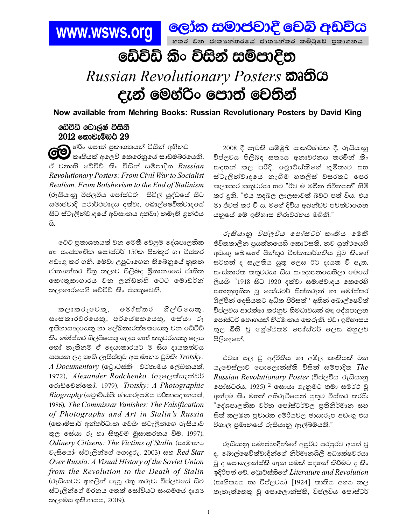

ඩේවිඩ් කිං විසින් සම්පාදිත

## Russian Revolutionary Posters **කෘතිය** දැන් මෙහ්රිං පොත් වෙතින්

Now available from Mehring Books: Russian Revolutionary Posters by David King

## ඩේවිඩ් වොල්ෂ් විසිනි 2012 නොවැම්බර් 29

**ිට්ට** <sup>හ්රිං</sup> පොත් පුකාශකයන් විසින් අභිනව<br>බොකියක් අලෙවි කෙරෙනුයේ සාඩම්බරයෙනි. ඒ වනාහි ඩේවිඩ් කිං විසින් සම්පාදිත Russian Revolutionary Posters: From Civil War to Socialist Realism, From Bolshevism to the End of Stalinism (රුසියානු විප්ලවීය පෝස්ටර්: සිවිල් යුද්ධයේ සිට සමාජවාදී යථාර්ථවාදය දක්වා, බොල්ෂෙවික්වාදයේ සිට ස්ටැලින්වාදයේ අවසානය දක්වා) නමැති ගුන්ථය යි.

ටේට් පුකාශනයක් වන මෙකී වෙලුම දේශපාලනික හා සංස්කෘතික පෝස්ටර් 150ක පින්තුර හා විස්තර අඩංගු කර ගනී. මේවා උපුටාගෙන තිබෙනුයේ නුතන ජාතාන්තර චිතු කලාව පිලිබඳ බිතානාගේ ජාතික කෞතුකාගාරය වන ලන්ඩන්හි ටේට් මොඩර්න් කලාගාරයෙහි ඩේවිඩ් කිං එකතුවෙනි.

කලාකරුවෙකු, මෝස්තර ශිල්පියෙකු, සංස්කාරවරයෙකු, පර්යේෂකයෙකු, සේයා රූ ඉතිහාසඥයෙකු හා ලේඛනාරක්ෂකයෙකු වන ඩේවිඩ් කිං මෝස්තර ශිල්පියෙකු ලෙස හෝ කතුවරයෙකු ලෙස හෝ නැතිනම් ඒ දෙයාකාරයට ම සිය දායකත්වය සපයන ලද කෘති ලැයිස්තුව අසාමානා වූවකි. Trotsky:  $A$  Documentary (ටොට්ස්කි: වර්තාමය ලේඛනයක්, 1972), Alexander Rodchenko (අැලෙක්සැන්ඩර් රොඩ්චෙන්කෝ, 1979), Trotsky: A Photographic  $\emph{Biography}$  (ලටුාට්ස්කි: ඡායාරූපමය චරිතාපදානයක්, 1986), The Commissar Vanishes: The Falsification of Photographs and Art in Stalin's Russia (කොමිසාර් අන්තර්ධාන වෙයි: ස්ටැලින්ගේ රුසියාව තුල සේයා රූ හා සිතුවම් මුසාකරනය වීම, 1997), *Odinery Citizens: The Victims of Stalin (සාමානා* වැසියෝ: ස්ටැලින්ගේ ගොදුරු, 2003) සහ  $Red\ Star$ Over Russia: A Visual History of the Soviet Union from the Revolution to the Death of Stalin (රුසියාවට ඉහලින් පෑයූ රතු තරුවඃ විප්ලවයේ සිට ස්ටැලින්ගේ මරනය තෙක් සෝවියට් සංගමයේ දෘශා කලාමය ඉතිහාසය, 2009).

2008 දී පැවති සම්මුඛ සාකච්ඡාවක දී, රුසියානු විප්ලවය පිලිබඳ සතාගෙ අනාවරනය කරමින් කිං සඳහන් කල පරිදි, ටොට්ස්කිගේ භූමිකාව සහ ස්ටැලින්වාදයේ නැගීම හතලිස් වසරකට පෙර කලාකාර කතුවරයා හට "ඊට ම ඔබින ජීවිතයක්" හිමි කර දුනි. "එය තදබල ලාලසාවක් බවට පත් විය. එය මා ජීවත් කර වී ය. මගේ දිවිය අඛන්ඩව පවත්වාගෙන යනුයේ මේ ඉතිහාස නිරාවරතය මගිනි."

රුසියානු විප්ලවීය පෝස්ටර් කෘතිය මෙකී ජීවිතකාලීන පුයත්නයෙහි කොටසකි. නව ගුන්ථයෙහි අඩංගු බොහෝ පිත්තුර චිත්තාකර්ශනීය වුව කිංගේ සටහන් ද සැලකිය යුතු ලෙස ඊට දායක වී ඇත. සංස්කාරක කතුවරයා සිය සංඥාපනයෙහිලා මෙසේ ලියයි: "1918 සිට 1920 දක්වා සමාජවාදය කෙරෙහි සහානුභූතික වූ පෝස්ටර් සිත්තරුත් හා මෝස්තර ශිල්පීන් දෙසීයකට අධික පිරිසක් <sup>1</sup> අතින් බොල්ෂෙවික් විප්ලවය ආරක්ෂා කරනුව හිමධාවයක් බඳු දේශපාලන පෝස්ටර් තොගයක් නිර්මානය කෙරුනි. ඒවා ඉතිහාසය තුල බිහි වූ ඉශු්ෂ්ඨතම පෝස්ටර් ලෙස බහුලව පිලිගැනේ.

එවක පල වූ අද්විතීය හා අමිල කෘතියක් වන යැචෙස්ලාව් පොලොත්ස්කි විසින් සම්පාදිත  $The$ Russian Revolutionary Poster (විප්ලවීය රුසියානු පෝස්ටරය, 1925) <sup>2</sup> සොයා ගැනුමට තමා සමර්ථ වූ අත්දම කිං මහත් අභිරුචියෙන් යුතුව විස්තර කරයි: "දේශපාලනික වර්න පෝස්ටර්වල පුතිනිර්මාන සහ සිත් කලඹන පුචාරක දුම්රියවල ඡායාරූප අඩංගු එය විශාල පුමානයේ රුසියානු ඇල්බමයකි."

රුසියානු සමාජවාදීන්ගේ අපූර්ව පරපුරට අයත් වූ ද, බොල්ෂෙවික්වාදීන්ගේ නිර්මානශීලී අධාක්ෂවරයා වූ ද පොලොන්ස්කි ගැන යමක් සඳහන් කිරීමට ද කිං ඉදිරිපත් වේ. ටොට්ස්කිගේ Literature and Revolution (සාහිතායය හා විප්ලවය) [1924] කෘතිය අගය කල තැනැත්තෙකු වූ පොලොත්ස්කි, විප්ලවීය පෝස්ටර්